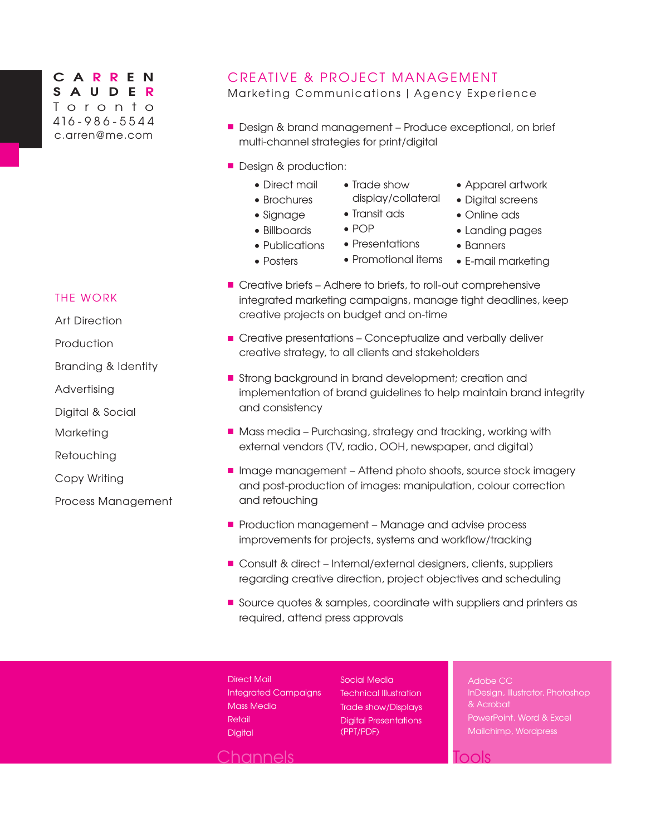## **C A R R E N SAUDE R** Toronto 416 - 9 8 6 - 5 5 4 4 [c.arren@me.com](mailto:c.arren%40me.com?subject=)

## CREATIVE & PROJECT MANAGEMENT

Marketing Communications | Agency Experience

- Design & brand management Produce exceptional, on brief multi-channel strategies for print/digital
- **Design & production:** 
	- Direct mail
- Trade show display/collateral
- Apparel artwork
- Brochures
- Transit ads
- Signage • Billboards

• Publications

- POP
	- Presentations
- Posters
- 
- Promotional items
- Digital screens
- Online ads
- Landing pages
- Banners
	- E-mail marketing
- Creative briefs Adhere to briefs, to roll-out comprehensive integrated marketing campaigns, manage tight deadlines, keep creative projects on budget and on-time
- **E** Creative presentations Conceptualize and verbally deliver creative strategy, to all clients and stakeholders
- **B** Strong background in brand development; creation and implementation of brand guidelines to help maintain brand integrity and consistency
- Mass media Purchasing, strategy and tracking, working with external vendors (TV, radio, OOH, newspaper, and digital)
- Image management Attend photo shoots, source stock imagery and post-production of images: manipulation, colour correction and retouching
- Production management Manage and advise process improvements for projects, systems and workflow/tracking
- Consult & direct Internal/external designers, clients, suppliers regarding creative direction, project objectives and scheduling
- **Source quotes & samples, coordinate with suppliers and printers as** required, attend press approvals
- Direct Mail Integrated Campaigns Mass Media **Retail Digital**

Social Media Technical Illustration Trade show/Displays Digital Presentations (PPT/PDF)

Adobe CC InDesign, Illustrator, Photoshop & Acrobat PowerPoint, Word & Excel

nols

Channels

THE WORK

Art Direction

**Production** 

Branding & Identity

Advertising

Digital & Social

Marketing

**Retouching** 

Copy Writing

Process Management